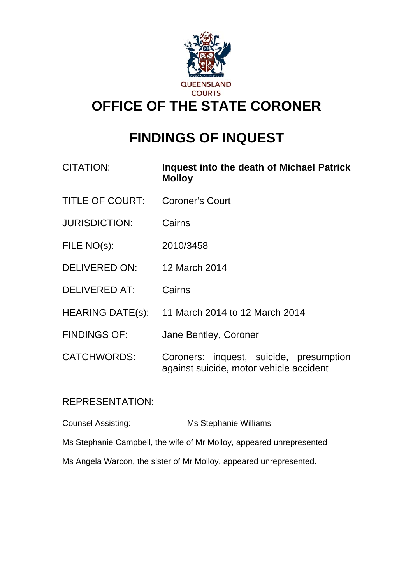

# **FINDINGS OF INQUEST**

| <b>CITATION:</b>       | Inquest into the death of Michael Patrick<br><b>Molloy</b>                         |
|------------------------|------------------------------------------------------------------------------------|
| <b>TITLE OF COURT:</b> | <b>Coroner's Court</b>                                                             |
| <b>JURISDICTION:</b>   | Cairns                                                                             |
| FILE NO(s):            | 2010/3458                                                                          |
| <b>DELIVERED ON:</b>   | 12 March 2014                                                                      |
| <b>DELIVERED AT:</b>   | Cairns                                                                             |
|                        | HEARING DATE(s): 11 March 2014 to 12 March 2014                                    |
| <b>FINDINGS OF:</b>    | Jane Bentley, Coroner                                                              |
| <b>CATCHWORDS:</b>     | Coroners: inquest, suicide, presumption<br>against suicide, motor vehicle accident |

## REPRESENTATION:

Counsel Assisting: Ms Stephanie Williams Ms Stephanie Campbell, the wife of Mr Molloy, appeared unrepresented Ms Angela Warcon, the sister of Mr Molloy, appeared unrepresented.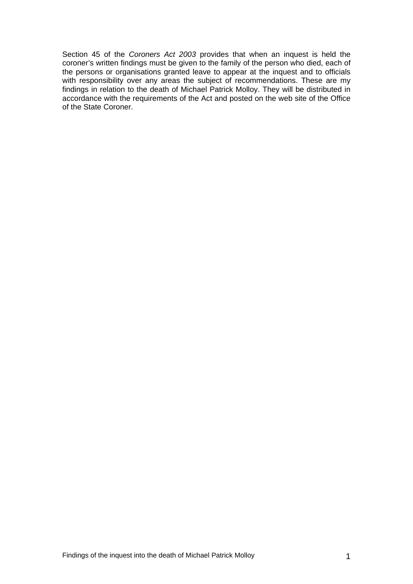<span id="page-1-0"></span>Section 45 of the *Coroners Act 2003* provides that when an inquest is held the coroner's written findings must be given to the family of the person who died, each of the persons or organisations granted leave to appear at the inquest and to officials with responsibility over any areas the subject of recommendations. These are my findings in relation to the death of Michael Patrick Molloy. They will be distributed in accordance with the requirements of the Act and posted on the web site of the Office of the State Coroner.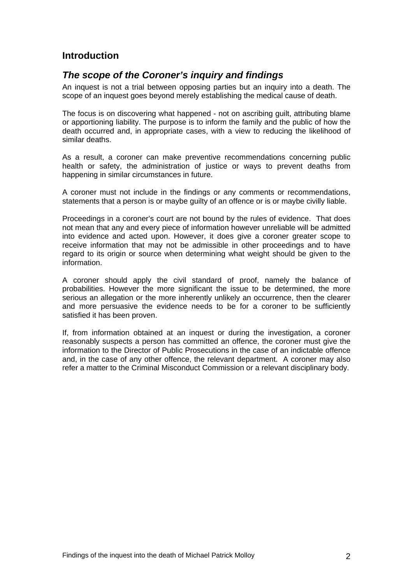## **Introduction**

#### *The scope of the Coroner's inquiry and findings*

An inquest is not a trial between opposing parties but an inquiry into a death. The scope of an inquest goes beyond merely establishing the medical cause of death.

The focus is on discovering what happened - not on ascribing guilt, attributing blame or apportioning liability. The purpose is to inform the family and the public of how the death occurred and, in appropriate cases, with a view to reducing the likelihood of similar deaths.

As a result, a coroner can make preventive recommendations concerning public health or safety, the administration of justice or ways to prevent deaths from happening in similar circumstances in future.

A coroner must not include in the findings or any comments or recommendations, statements that a person is or maybe guilty of an offence or is or maybe civilly liable.

Proceedings in a coroner's court are not bound by the rules of evidence. That does not mean that any and every piece of information however unreliable will be admitted into evidence and acted upon. However, it does give a coroner greater scope to receive information that may not be admissible in other proceedings and to have regard to its origin or source when determining what weight should be given to the information.

A coroner should apply the civil standard of proof, namely the balance of probabilities. However the more significant the issue to be determined, the more serious an allegation or the more inherently unlikely an occurrence, then the clearer and more persuasive the evidence needs to be for a coroner to be sufficiently satisfied it has been proven.

If, from information obtained at an inquest or during the investigation, a coroner reasonably suspects a person has committed an offence, the coroner must give the information to the Director of Public Prosecutions in the case of an indictable offence and, in the case of any other offence, the relevant department. A coroner may also refer a matter to the Criminal Misconduct Commission or a relevant disciplinary body.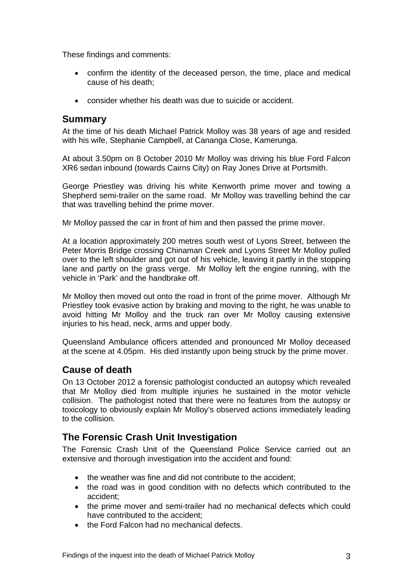These findings and comments:

- confirm the identity of the deceased person, the time, place and medical cause of his death;
- consider whether his death was due to suicide or accident.

#### **Summary**

At the time of his death Michael Patrick Molloy was 38 years of age and resided with his wife, Stephanie Campbell, at Cananga Close, Kamerunga.

At about 3.50pm on 8 October 2010 Mr Molloy was driving his blue Ford Falcon XR6 sedan inbound (towards Cairns City) on Ray Jones Drive at Portsmith.

George Priestley was driving his white Kenworth prime mover and towing a Shepherd semi-trailer on the same road. Mr Molloy was travelling behind the car that was travelling behind the prime mover.

Mr Molloy passed the car in front of him and then passed the prime mover.

At a location approximately 200 metres south west of Lyons Street, between the Peter Morris Bridge crossing Chinaman Creek and Lyons Street Mr Molloy pulled over to the left shoulder and got out of his vehicle, leaving it partly in the stopping lane and partly on the grass verge. Mr Molloy left the engine running, with the vehicle in 'Park' and the handbrake off.

Mr Molloy then moved out onto the road in front of the prime mover. Although Mr Priestley took evasive action by braking and moving to the right, he was unable to avoid hitting Mr Molloy and the truck ran over Mr Molloy causing extensive injuries to his head, neck, arms and upper body.

Queensland Ambulance officers attended and pronounced Mr Molloy deceased at the scene at 4.05pm. His died instantly upon being struck by the prime mover.

#### **Cause of death**

On 13 October 2012 a forensic pathologist conducted an autopsy which revealed that Mr Molloy died from multiple injuries he sustained in the motor vehicle collision. The pathologist noted that there were no features from the autopsy or toxicology to obviously explain Mr Molloy's observed actions immediately leading to the collision.

#### **The Forensic Crash Unit Investigation**

The Forensic Crash Unit of the Queensland Police Service carried out an extensive and thorough investigation into the accident and found:

- the weather was fine and did not contribute to the accident;
- the road was in good condition with no defects which contributed to the accident;
- the prime mover and semi-trailer had no mechanical defects which could have contributed to the accident;
- the Ford Falcon had no mechanical defects.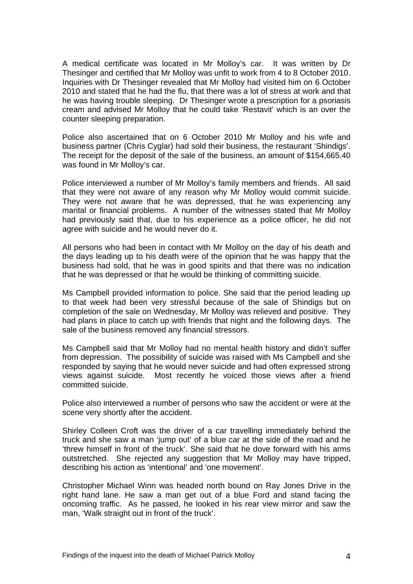A medical certificate was located in Mr Molloy's car. It was written by Dr Thesinger and certified that Mr Molloy was unfit to work from 4 to 8 October 2010. Inquiries with Dr Thesinger revealed that Mr Molloy had visited him on 6 October 2010 and stated that he had the flu, that there was a lot of stress at work and that he was having trouble sleeping. Dr Thesinger wrote a prescription for a psoriasis cream and advised Mr Molloy that he could take 'Restavit' which is an over the counter sleeping preparation.

Police also ascertained that on 6 October 2010 Mr Molloy and his wife and business partner (Chris Cyglar) had sold their business, the restaurant 'Shindigs'. The receipt for the deposit of the sale of the business, an amount of \$154,665.40 was found in Mr Molloy's car.

Police interviewed a number of Mr Molloy's family members and friends. All said that they were not aware of any reason why Mr Molloy would commit suicide. They were not aware that he was depressed, that he was experiencing any marital or financial problems. A number of the witnesses stated that Mr Molloy had previously said that, due to his experience as a police officer, he did not agree with suicide and he would never do it.

All persons who had been in contact with Mr Molloy on the day of his death and the days leading up to his death were of the opinion that he was happy that the business had sold, that he was in good spirits and that there was no indication that he was depressed or that he would be thinking of committing suicide.

Ms Campbell provided information to police. She said that the period leading up to that week had been very stressful because of the sale of Shindigs but on completion of the sale on Wednesday, Mr Molloy was relieved and positive. They had plans in place to catch up with friends that night and the following days. The sale of the business removed any financial stressors.

Ms Campbell said that Mr Molloy had no mental health history and didn't suffer from depression. The possibility of suicide was raised with Ms Campbell and she responded by saying that he would never suicide and had often expressed strong views against suicide. Most recently he voiced those views after a friend committed suicide.

Police also interviewed a number of persons who saw the accident or were at the scene very shortly after the accident.

Shirley Colleen Croft was the driver of a car travelling immediately behind the truck and she saw a man 'jump out' of a blue car at the side of the road and he 'threw himself in front of the truck'. She said that he dove forward with his arms outstretched. She rejected any suggestion that Mr Molloy may have tripped, describing his action as 'intentional' and 'one movement'.

Christopher Michael Winn was headed north bound on Ray Jones Drive in the right hand lane. He saw a man get out of a blue Ford and stand facing the oncoming traffic. As he passed, he looked in his rear view mirror and saw the man, 'Walk straight out in front of the truck'.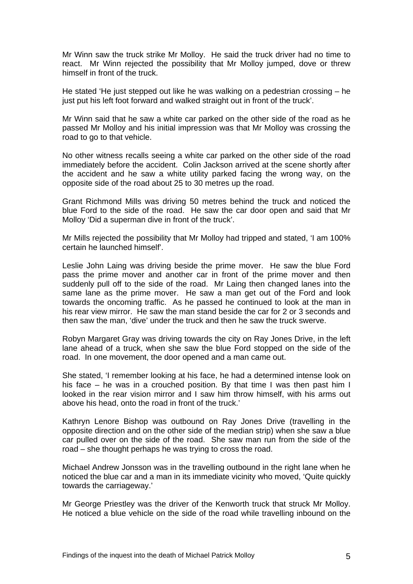Mr Winn saw the truck strike Mr Molloy. He said the truck driver had no time to react. Mr Winn rejected the possibility that Mr Molloy jumped, dove or threw himself in front of the truck.

He stated 'He just stepped out like he was walking on a pedestrian crossing – he just put his left foot forward and walked straight out in front of the truck'.

Mr Winn said that he saw a white car parked on the other side of the road as he passed Mr Molloy and his initial impression was that Mr Molloy was crossing the road to go to that vehicle.

No other witness recalls seeing a white car parked on the other side of the road immediately before the accident. Colin Jackson arrived at the scene shortly after the accident and he saw a white utility parked facing the wrong way, on the opposite side of the road about 25 to 30 metres up the road.

Grant Richmond Mills was driving 50 metres behind the truck and noticed the blue Ford to the side of the road. He saw the car door open and said that Mr Molloy 'Did a superman dive in front of the truck'.

Mr Mills rejected the possibility that Mr Molloy had tripped and stated, 'I am 100% certain he launched himself'.

Leslie John Laing was driving beside the prime mover. He saw the blue Ford pass the prime mover and another car in front of the prime mover and then suddenly pull off to the side of the road. Mr Laing then changed lanes into the same lane as the prime mover. He saw a man get out of the Ford and look towards the oncoming traffic. As he passed he continued to look at the man in his rear view mirror. He saw the man stand beside the car for 2 or 3 seconds and then saw the man, 'dive' under the truck and then he saw the truck swerve.

Robyn Margaret Gray was driving towards the city on Ray Jones Drive, in the left lane ahead of a truck, when she saw the blue Ford stopped on the side of the road. In one movement, the door opened and a man came out.

She stated, 'I remember looking at his face, he had a determined intense look on his face – he was in a crouched position. By that time I was then past him I looked in the rear vision mirror and I saw him throw himself, with his arms out above his head, onto the road in front of the truck.'

Kathryn Lenore Bishop was outbound on Ray Jones Drive (travelling in the opposite direction and on the other side of the median strip) when she saw a blue car pulled over on the side of the road. She saw man run from the side of the road – she thought perhaps he was trying to cross the road.

Michael Andrew Jonsson was in the travelling outbound in the right lane when he noticed the blue car and a man in its immediate vicinity who moved, 'Quite quickly towards the carriageway.'

Mr George Priestley was the driver of the Kenworth truck that struck Mr Molloy. He noticed a blue vehicle on the side of the road while travelling inbound on the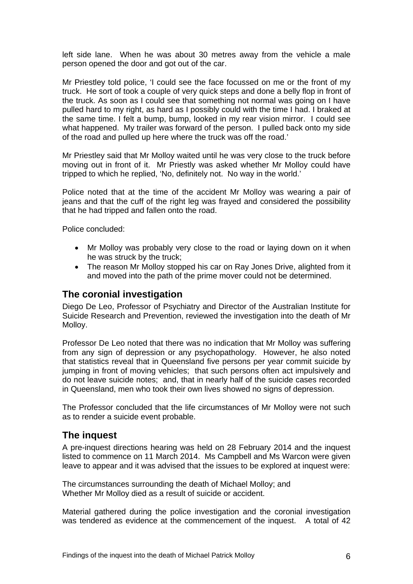left side lane. When he was about 30 metres away from the vehicle a male person opened the door and got out of the car.

Mr Priestley told police, 'I could see the face focussed on me or the front of my truck. He sort of took a couple of very quick steps and done a belly flop in front of the truck. As soon as I could see that something not normal was going on I have pulled hard to my right, as hard as I possibly could with the time I had. I braked at the same time. I felt a bump, bump, looked in my rear vision mirror. I could see what happened. My trailer was forward of the person. I pulled back onto my side of the road and pulled up here where the truck was off the road.'

Mr Priestley said that Mr Molloy waited until he was very close to the truck before moving out in front of it. Mr Priestly was asked whether Mr Molloy could have tripped to which he replied, 'No, definitely not. No way in the world.'

Police noted that at the time of the accident Mr Molloy was wearing a pair of jeans and that the cuff of the right leg was frayed and considered the possibility that he had tripped and fallen onto the road.

Police concluded:

- Mr Molloy was probably very close to the road or laying down on it when he was struck by the truck;
- The reason Mr Molloy stopped his car on Ray Jones Drive, alighted from it and moved into the path of the prime mover could not be determined.

#### **The coronial investigation**

Diego De Leo, Professor of Psychiatry and Director of the Australian Institute for Suicide Research and Prevention, reviewed the investigation into the death of Mr Molloy.

Professor De Leo noted that there was no indication that Mr Molloy was suffering from any sign of depression or any psychopathology. However, he also noted that statistics reveal that in Queensland five persons per year commit suicide by jumping in front of moving vehicles; that such persons often act impulsively and do not leave suicide notes; and, that in nearly half of the suicide cases recorded in Queensland, men who took their own lives showed no signs of depression.

The Professor concluded that the life circumstances of Mr Molloy were not such as to render a suicide event probable.

#### **The inquest**

A pre-inquest directions hearing was held on 28 February 2014 and the inquest listed to commence on 11 March 2014. Ms Campbell and Ms Warcon were given leave to appear and it was advised that the issues to be explored at inquest were:

The circumstances surrounding the death of Michael Molloy; and Whether Mr Molloy died as a result of suicide or accident.

Material gathered during the police investigation and the coronial investigation was tendered as evidence at the commencement of the inquest. A total of 42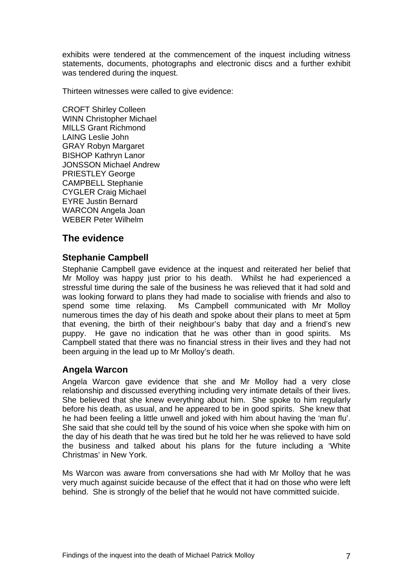exhibits were tendered at the commencement of the inquest including witness statements, documents, photographs and electronic discs and a further exhibit was tendered during the inquest.

Thirteen witnesses were called to give evidence:

CROFT Shirley Colleen WINN Christopher Michael MILLS Grant Richmond LAING Leslie John GRAY Robyn Margaret BISHOP Kathryn Lanor JONSSON Michael Andrew PRIESTLEY George CAMPBELL Stephanie CYGLER Craig Michael EYRE Justin Bernard WARCON Angela Joan WEBER Peter Wilhelm

## **The evidence**

#### **Stephanie Campbell**

Stephanie Campbell gave evidence at the inquest and reiterated her belief that Mr Molloy was happy just prior to his death. Whilst he had experienced a stressful time during the sale of the business he was relieved that it had sold and was looking forward to plans they had made to socialise with friends and also to spend some time relaxing. Ms Campbell communicated with Mr Molloy numerous times the day of his death and spoke about their plans to meet at 5pm that evening, the birth of their neighbour's baby that day and a friend's new puppy. He gave no indication that he was other than in good spirits. Ms Campbell stated that there was no financial stress in their lives and they had not been arguing in the lead up to Mr Molloy's death.

#### **Angela Warcon**

Angela Warcon gave evidence that she and Mr Molloy had a very close relationship and discussed everything including very intimate details of their lives. She believed that she knew everything about him. She spoke to him regularly before his death, as usual, and he appeared to be in good spirits. She knew that he had been feeling a little unwell and joked with him about having the 'man flu'. She said that she could tell by the sound of his voice when she spoke with him on the day of his death that he was tired but he told her he was relieved to have sold the business and talked about his plans for the future including a 'White Christmas' in New York.

Ms Warcon was aware from conversations she had with Mr Molloy that he was very much against suicide because of the effect that it had on those who were left behind. She is strongly of the belief that he would not have committed suicide.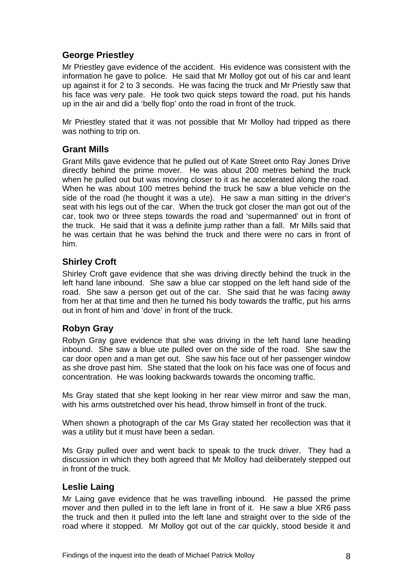## **George Priestley**

Mr Priestley gave evidence of the accident. His evidence was consistent with the information he gave to police. He said that Mr Molloy got out of his car and leant up against it for 2 to 3 seconds. He was facing the truck and Mr Priestly saw that his face was very pale. He took two quick steps toward the road, put his hands up in the air and did a 'belly flop' onto the road in front of the truck.

Mr Priestley stated that it was not possible that Mr Molloy had tripped as there was nothing to trip on.

#### **Grant Mills**

Grant Mills gave evidence that he pulled out of Kate Street onto Ray Jones Drive directly behind the prime mover. He was about 200 metres behind the truck when he pulled out but was moving closer to it as he accelerated along the road. When he was about 100 metres behind the truck he saw a blue vehicle on the side of the road (he thought it was a ute). He saw a man sitting in the driver's seat with his legs out of the car. When the truck got closer the man got out of the car, took two or three steps towards the road and 'supermanned' out in front of the truck. He said that it was a definite jump rather than a fall. Mr Mills said that he was certain that he was behind the truck and there were no cars in front of him.

#### **Shirley Croft**

Shirley Croft gave evidence that she was driving directly behind the truck in the left hand lane inbound. She saw a blue car stopped on the left hand side of the road. She saw a person get out of the car. She said that he was facing away from her at that time and then he turned his body towards the traffic, put his arms out in front of him and 'dove' in front of the truck.

#### **Robyn Gray**

Robyn Gray gave evidence that she was driving in the left hand lane heading inbound. She saw a blue ute pulled over on the side of the road. She saw the car door open and a man get out. She saw his face out of her passenger window as she drove past him. She stated that the look on his face was one of focus and concentration. He was looking backwards towards the oncoming traffic.

Ms Gray stated that she kept looking in her rear view mirror and saw the man, with his arms outstretched over his head, throw himself in front of the truck.

When shown a photograph of the car Ms Gray stated her recollection was that it was a utility but it must have been a sedan.

Ms Gray pulled over and went back to speak to the truck driver. They had a discussion in which they both agreed that Mr Molloy had deliberately stepped out in front of the truck.

#### **Leslie Laing**

Mr Laing gave evidence that he was travelling inbound. He passed the prime mover and then pulled in to the left lane in front of it. He saw a blue XR6 pass the truck and then it pulled into the left lane and straight over to the side of the road where it stopped. Mr Molloy got out of the car quickly, stood beside it and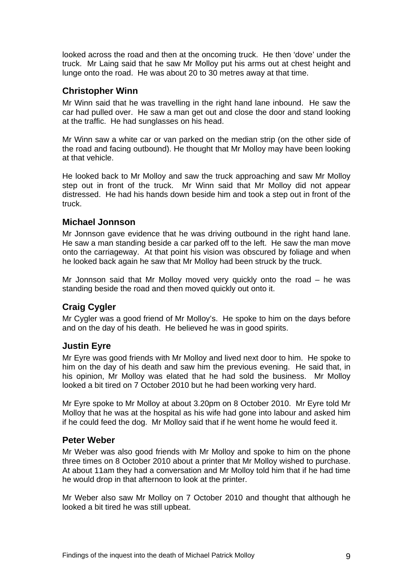looked across the road and then at the oncoming truck. He then 'dove' under the truck. Mr Laing said that he saw Mr Molloy put his arms out at chest height and lunge onto the road. He was about 20 to 30 metres away at that time.

#### **Christopher Winn**

Mr Winn said that he was travelling in the right hand lane inbound. He saw the car had pulled over. He saw a man get out and close the door and stand looking at the traffic. He had sunglasses on his head.

Mr Winn saw a white car or van parked on the median strip (on the other side of the road and facing outbound). He thought that Mr Molloy may have been looking at that vehicle.

He looked back to Mr Molloy and saw the truck approaching and saw Mr Molloy step out in front of the truck. Mr Winn said that Mr Molloy did not appear distressed. He had his hands down beside him and took a step out in front of the truck.

#### **Michael Jonnson**

Mr Jonnson gave evidence that he was driving outbound in the right hand lane. He saw a man standing beside a car parked off to the left. He saw the man move onto the carriageway. At that point his vision was obscured by foliage and when he looked back again he saw that Mr Molloy had been struck by the truck.

Mr Jonnson said that Mr Molloy moved very quickly onto the road – he was standing beside the road and then moved quickly out onto it.

## **Craig Cygler**

Mr Cygler was a good friend of Mr Molloy's. He spoke to him on the days before and on the day of his death. He believed he was in good spirits.

#### **Justin Eyre**

Mr Eyre was good friends with Mr Molloy and lived next door to him. He spoke to him on the day of his death and saw him the previous evening. He said that, in his opinion, Mr Molloy was elated that he had sold the business. Mr Molloy looked a bit tired on 7 October 2010 but he had been working very hard.

Mr Eyre spoke to Mr Molloy at about 3.20pm on 8 October 2010. Mr Eyre told Mr Molloy that he was at the hospital as his wife had gone into labour and asked him if he could feed the dog. Mr Molloy said that if he went home he would feed it.

#### **Peter Weber**

Mr Weber was also good friends with Mr Molloy and spoke to him on the phone three times on 8 October 2010 about a printer that Mr Molloy wished to purchase. At about 11am they had a conversation and Mr Molloy told him that if he had time he would drop in that afternoon to look at the printer.

Mr Weber also saw Mr Molloy on 7 October 2010 and thought that although he looked a bit tired he was still upbeat.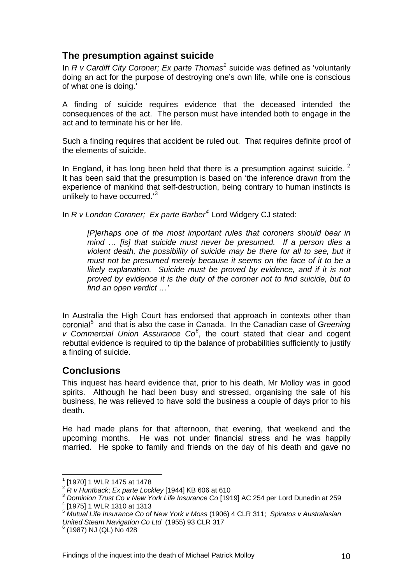## **The presumption against suicide**

In *R v Cardiff City Coroner; Ex parte Thomas<sup>[1](#page-1-0)</sup>* suicide was defined as 'voluntarily doing an act for the purpose of destroying one's own life, while one is conscious of what one is doing.'

A finding of suicide requires evidence that the deceased intended the consequences of the act. The person must have intended both to engage in the act and to terminate his or her life.

Such a finding requires that accident be ruled out. That requires definite proof of the elements of suicide.

In England, it has long been held that there is a presumption against suicide.  $2$ It has been said that the presumption is based on 'the inference drawn from the experience of mankind that self-destruction, being contrary to human instincts is unlikely to have occurred.<sup>[3](#page-10-1)</sup>

In *R v London Coroner; Ex parte Barber[4](#page-10-2)* Lord Widgery CJ stated:

*[P]erhaps one of the most important rules that coroners should bear in mind … [is] that suicide must never be presumed. If a person dies a violent death, the possibility of suicide may be there for all to see, but it must not be presumed merely because it seems on the face of it to be a likely explanation. Suicide must be proved by evidence, and if it is not proved by evidence it is the duty of the coroner not to find suicide, but to find an open verdict …'* 

In Australia the High Court has endorsed that approach in contexts other than coronial<sup>[5](#page-10-3)</sup> and that is also the case in Canada. In the Canadian case of *Greening v Commercial Union Assurance Co[6](#page-10-4) ,* the court stated that clear and cogent rebuttal evidence is required to tip the balance of probabilities sufficiently to justify a finding of suicide.

## **Conclusions**

This inquest has heard evidence that, prior to his death, Mr Molloy was in good spirits. Although he had been busy and stressed, organising the sale of his business, he was relieved to have sold the business a couple of days prior to his death.

He had made plans for that afternoon, that evening, that weekend and the upcoming months. He was not under financial stress and he was happily married. He spoke to family and friends on the day of his death and gave no

l

<sup>1</sup>

 $^{1}$  [1970] 1 WLR 1475 at 1478<br> $^{2}$  R v Huntback; Ex parte Lockley [1944] KB 606 at 610

<span id="page-10-0"></span><sup>&</sup>lt;sup>3</sup> Dominion Trust Co v New York Life Insurance Co [1919] AC 254 per Lord Dunedin at 259

<span id="page-10-2"></span><span id="page-10-1"></span> <sup>[1975] 1</sup> WLR 1310 at 1313

<span id="page-10-3"></span><sup>5</sup> *Mutual Life Insurance Co of New York v Moss* (1906) 4 CLR 311; *Spiratos v Australasian*  **United Steam Navigation Co Ltd (1955) 93 CLR 317** 

<span id="page-10-4"></span> $6$  (1987) NJ (QL) No 428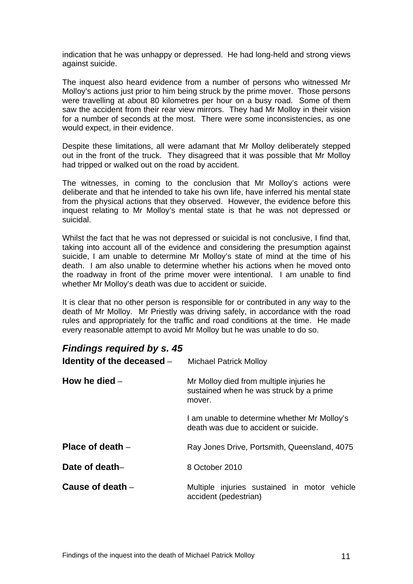indication that he was unhappy or depressed. He had long-held and strong views against suicide.

The inquest also heard evidence from a number of persons who witnessed Mr Molloy's actions just prior to him being struck by the prime mover. Those persons were travelling at about 80 kilometres per hour on a busy road. Some of them saw the accident from their rear view mirrors. They had Mr Molloy in their vision for a number of seconds at the most. There were some inconsistencies, as one would expect, in their evidence.

Despite these limitations, all were adamant that Mr Molloy deliberately stepped out in the front of the truck. They disagreed that it was possible that Mr Molloy had tripped or walked out on the road by accident.

The witnesses, in coming to the conclusion that Mr Molloy's actions were deliberate and that he intended to take his own life, have inferred his mental state from the physical actions that they observed. However, the evidence before this inquest relating to Mr Molloy's mental state is that he was not depressed or suicidal.

Whilst the fact that he was not depressed or suicidal is not conclusive, I find that, taking into account all of the evidence and considering the presumption against suicide, I am unable to determine Mr Molloy's state of mind at the time of his death. I am also unable to determine whether his actions when he moved onto the roadway in front of the prime mover were intentional. I am unable to find whether Mr Molloy's death was due to accident or suicide.

It is clear that no other person is responsible for or contributed in any way to the death of Mr Molloy. Mr Priestly was driving safely, in accordance with the road rules and appropriately for the traffic and road conditions at the time. He made every reasonable attempt to avoid Mr Molloy but he was unable to do so.

## *Findings required by s. 45*

| Identity of the deceased - | <b>Michael Patrick Molloy</b>                                                                 |
|----------------------------|-----------------------------------------------------------------------------------------------|
| How he died $-$            | Mr Molloy died from multiple injuries he<br>sustained when he was struck by a prime<br>mover. |
|                            | I am unable to determine whether Mr Molloy's<br>death was due to accident or suicide.         |
| Place of death $-$         | Ray Jones Drive, Portsmith, Queensland, 4075                                                  |
| Date of death-             | 8 October 2010                                                                                |
| Cause of death $-$         | Multiple injuries sustained in motor vehicle<br>accident (pedestrian)                         |